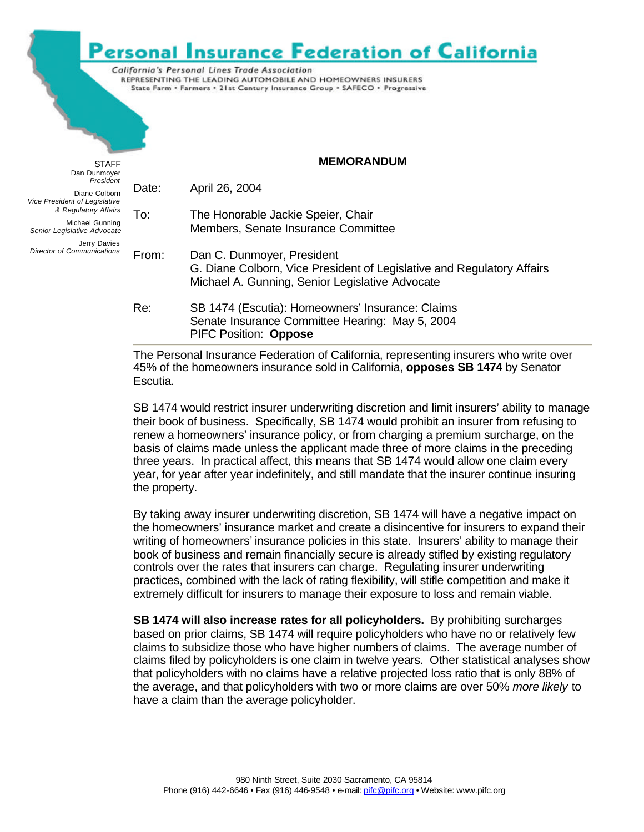## Personal Insurance Federation of California

California's Personal Lines Trade Association REPRESENTING THE LEADING AUTOMOBILE AND HOMEOWNERS INSURERS State Farm . Farmers . 21st Century Insurance Group . SAFECO . Progressive

**STAFF** Dan Dunmoyer *President* Diane Colborn *Vice President of Legislative & Regulatory Affairs* Michael Gunning *Senior Legislative Advocate* Jerry Davies *Director of Communications* **MEMORANDUM** Date: April 26, 2004 To: The Honorable Jackie Speier, Chair Members, Senate Insurance Committee From: Dan C. Dunmoyer, President G. Diane Colborn, Vice President of Legislative and Regulatory Affairs Michael A. Gunning, Senior Legislative Advocate Re: SB 1474 (Escutia): Homeowners' Insurance: Claims Senate Insurance Committee Hearing: May 5, 2004 PIFC Position: **Oppose**

> The Personal Insurance Federation of California, representing insurers who write over 45% of the homeowners insurance sold in California, **opposes SB 1474** by Senator Escutia.

SB 1474 would restrict insurer underwriting discretion and limit insurers' ability to manage their book of business. Specifically, SB 1474 would prohibit an insurer from refusing to renew a homeowners' insurance policy, or from charging a premium surcharge, on the basis of claims made unless the applicant made three of more claims in the preceding three years. In practical affect, this means that SB 1474 would allow one claim every year, for year after year indefinitely, and still mandate that the insurer continue insuring the property.

By taking away insurer underwriting discretion, SB 1474 will have a negative impact on the homeowners' insurance market and create a disincentive for insurers to expand their writing of homeowners' insurance policies in this state. Insurers' ability to manage their book of business and remain financially secure is already stifled by existing regulatory controls over the rates that insurers can charge. Regulating insurer underwriting practices, combined with the lack of rating flexibility, will stifle competition and make it extremely difficult for insurers to manage their exposure to loss and remain viable.

**SB 1474 will also increase rates for all policyholders.** By prohibiting surcharges based on prior claims, SB 1474 will require policyholders who have no or relatively few claims to subsidize those who have higher numbers of claims. The average number of claims filed by policyholders is one claim in twelve years. Other statistical analyses show that policyholders with no claims have a relative projected loss ratio that is only 88% of the average, and that policyholders with two or more claims are over 50% *more likely* to have a claim than the average policyholder.